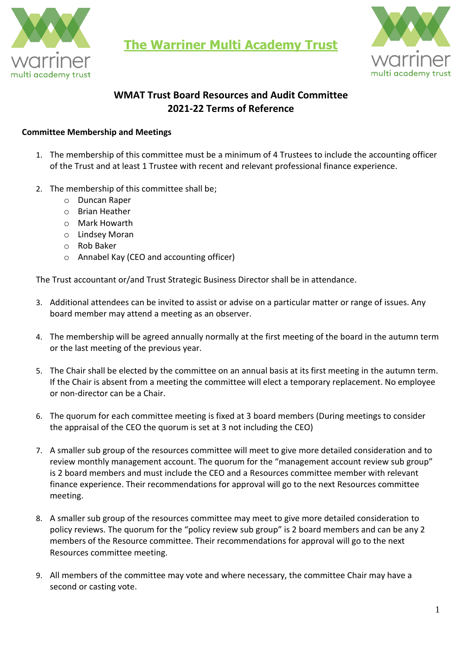

**The Warriner Multi Academy Trust**



# **WMAT Trust Board Resources and Audit Committee 2021-22 Terms of Reference**

## **Committee Membership and Meetings**

- 1. The membership of this committee must be a minimum of 4 Trustees to include the accounting officer of the Trust and at least 1 Trustee with recent and relevant professional finance experience.
- 2. The membership of this committee shall be;
	- o Duncan Raper
	- o Brian Heather
	- o Mark Howarth
	- o Lindsey Moran
	- o Rob Baker
	- o Annabel Kay (CEO and accounting officer)

The Trust accountant or/and Trust Strategic Business Director shall be in attendance.

- 3. Additional attendees can be invited to assist or advise on a particular matter or range of issues. Any board member may attend a meeting as an observer.
- 4. The membership will be agreed annually normally at the first meeting of the board in the autumn term or the last meeting of the previous year.
- 5. The Chair shall be elected by the committee on an annual basis at its first meeting in the autumn term. If the Chair is absent from a meeting the committee will elect a temporary replacement. No employee or non-director can be a Chair.
- 6. The quorum for each committee meeting is fixed at 3 board members (During meetings to consider the appraisal of the CEO the quorum is set at 3 not including the CEO)
- 7. A smaller sub group of the resources committee will meet to give more detailed consideration and to review monthly management account. The quorum for the "management account review sub group" is 2 board members and must include the CEO and a Resources committee member with relevant finance experience. Their recommendations for approval will go to the next Resources committee meeting.
- 8. A smaller sub group of the resources committee may meet to give more detailed consideration to policy reviews. The quorum for the "policy review sub group" is 2 board members and can be any 2 members of the Resource committee. Their recommendations for approval will go to the next Resources committee meeting.
- 9. All members of the committee may vote and where necessary, the committee Chair may have a second or casting vote.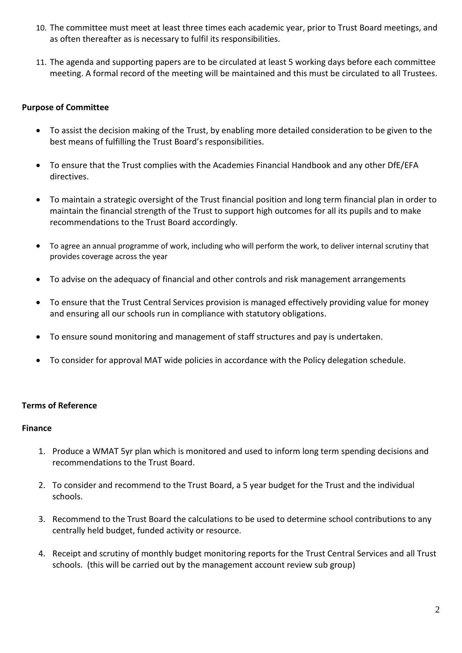- 10. The committee must meet at least three times each academic year, prior to Trust Board meetings, and as often thereafter as is necessary to fulfil its responsibilities.
- 11. The agenda and supporting papers are to be circulated at least 5 working days before each committee meeting. A formal record of the meeting will be maintained and this must be circulated to all Trustees.

# **Purpose of Committee**

- To assist the decision making of the Trust, by enabling more detailed consideration to be given to the best means of fulfilling the Trust Board's responsibilities.
- To ensure that the Trust complies with the Academies Financial Handbook and any other DfE/EFA directives.
- To maintain a strategic oversight of the Trust financial position and long term financial plan in order to maintain the financial strength of the Trust to support high outcomes for all its pupils and to make recommendations to the Trust Board accordingly.
- To agree an annual programme of work, including who will perform the work, to deliver internal scrutiny that provides coverage across the year
- To advise on the adequacy of financial and other controls and risk management arrangements
- To ensure that the Trust Central Services provision is managed effectively providing value for money and ensuring all our schools run in compliance with statutory obligations.
- To ensure sound monitoring and management of staff structures and pay is undertaken.
- To consider for approval MAT wide policies in accordance with the Policy delegation schedule.

## **Terms of Reference**

#### **Finance**

- 1. Produce a WMAT 5yr plan which is monitored and used to inform long term spending decisions and recommendations to the Trust Board.
- 2. To consider and recommend to the Trust Board, a 5 year budget for the Trust and the individual schools.
- 3. Recommend to the Trust Board the calculations to be used to determine school contributions to any centrally held budget, funded activity or resource.
- 4. Receipt and scrutiny of monthly budget monitoring reports for the Trust Central Services and all Trust schools. (this will be carried out by the management account review sub group)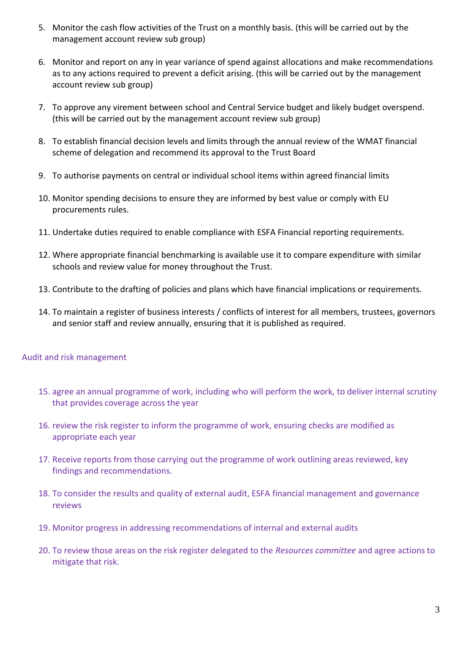- 5. Monitor the cash flow activities of the Trust on a monthly basis. (this will be carried out by the management account review sub group)
- 6. Monitor and report on any in year variance of spend against allocations and make recommendations as to any actions required to prevent a deficit arising. (this will be carried out by the management account review sub group)
- 7. To approve any virement between school and Central Service budget and likely budget overspend. (this will be carried out by the management account review sub group)
- 8. To establish financial decision levels and limits through the annual review of the WMAT financial scheme of delegation and recommend its approval to the Trust Board
- 9. To authorise payments on central or individual school items within agreed financial limits
- 10. Monitor spending decisions to ensure they are informed by best value or comply with EU procurements rules.
- 11. Undertake duties required to enable compliance with ESFA Financial reporting requirements.
- 12. Where appropriate financial benchmarking is available use it to compare expenditure with similar schools and review value for money throughout the Trust.
- 13. Contribute to the drafting of policies and plans which have financial implications or requirements.
- 14. To maintain a register of business interests / conflicts of interest for all members, trustees, governors and senior staff and review annually, ensuring that it is published as required.

## Audit and risk management

- 15. agree an annual programme of work, including who will perform the work, to deliver internal scrutiny that provides coverage across the year
- 16. review the risk register to inform the programme of work, ensuring checks are modified as appropriate each year
- 17. Receive reports from those carrying out the programme of work outlining areas reviewed, key findings and recommendations.
- 18. To consider the results and quality of external audit, ESFA financial management and governance reviews
- 19. Monitor progress in addressing recommendations of internal and external audits
- 20. To review those areas on the risk register delegated to the *Resources committee* and agree actions to mitigate that risk.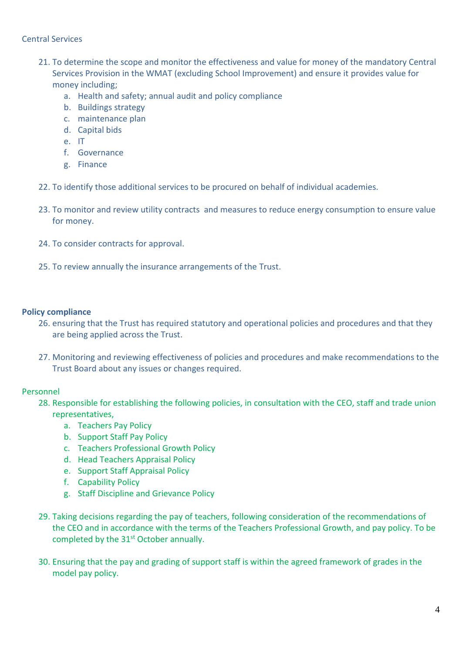## Central Services

- 21. To determine the scope and monitor the effectiveness and value for money of the mandatory Central Services Provision in the WMAT (excluding School Improvement) and ensure it provides value for money including;
	- a. Health and safety; annual audit and policy compliance
	- b. Buildings strategy
	- c. maintenance plan
	- d. Capital bids
	- e. IT
	- f. Governance
	- g. Finance
- 22. To identify those additional services to be procured on behalf of individual academies.
- 23. To monitor and review utility contracts and measures to reduce energy consumption to ensure value for money.
- 24. To consider contracts for approval.
- 25. To review annually the insurance arrangements of the Trust.

#### **Policy compliance**

- 26. ensuring that the Trust has required statutory and operational policies and procedures and that they are being applied across the Trust.
- 27. Monitoring and reviewing effectiveness of policies and procedures and make recommendations to the Trust Board about any issues or changes required.

## Personnel

- 28. Responsible for establishing the following policies, in consultation with the CEO, staff and trade union representatives,
	- a. Teachers Pay Policy
	- b. Support Staff Pay Policy
	- c. Teachers Professional Growth Policy
	- d. Head Teachers Appraisal Policy
	- e. Support Staff Appraisal Policy
	- f. Capability Policy
	- g. Staff Discipline and Grievance Policy
- 29. Taking decisions regarding the pay of teachers, following consideration of the recommendations of the CEO and in accordance with the terms of the Teachers Professional Growth, and pay policy. To be completed by the 31<sup>st</sup> October annually.
- 30. Ensuring that the pay and grading of support staff is within the agreed framework of grades in the model pay policy.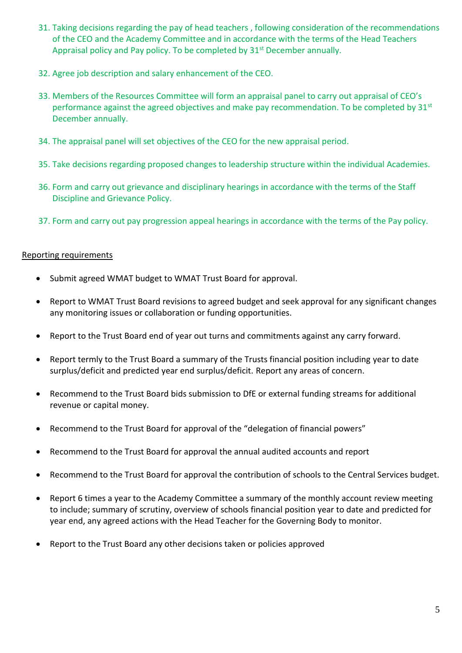- 31. Taking decisions regarding the pay of head teachers , following consideration of the recommendations of the CEO and the Academy Committee and in accordance with the terms of the Head Teachers Appraisal policy and Pay policy. To be completed by 31<sup>st</sup> December annually.
- 32. Agree job description and salary enhancement of the CEO.
- 33. Members of the Resources Committee will form an appraisal panel to carry out appraisal of CEO's performance against the agreed objectives and make pay recommendation. To be completed by  $31<sup>st</sup>$ December annually.
- 34. The appraisal panel will set objectives of the CEO for the new appraisal period.
- 35. Take decisions regarding proposed changes to leadership structure within the individual Academies.
- 36. Form and carry out grievance and disciplinary hearings in accordance with the terms of the Staff Discipline and Grievance Policy.
- 37. Form and carry out pay progression appeal hearings in accordance with the terms of the Pay policy.

#### Reporting requirements

- Submit agreed WMAT budget to WMAT Trust Board for approval.
- Report to WMAT Trust Board revisions to agreed budget and seek approval for any significant changes any monitoring issues or collaboration or funding opportunities.
- Report to the Trust Board end of year out turns and commitments against any carry forward.
- Report termly to the Trust Board a summary of the Trusts financial position including year to date surplus/deficit and predicted year end surplus/deficit. Report any areas of concern.
- Recommend to the Trust Board bids submission to DfE or external funding streams for additional revenue or capital money.
- Recommend to the Trust Board for approval of the "delegation of financial powers"
- Recommend to the Trust Board for approval the annual audited accounts and report
- Recommend to the Trust Board for approval the contribution of schools to the Central Services budget.
- Report 6 times a year to the Academy Committee a summary of the monthly account review meeting to include; summary of scrutiny, overview of schools financial position year to date and predicted for year end, any agreed actions with the Head Teacher for the Governing Body to monitor.
- Report to the Trust Board any other decisions taken or policies approved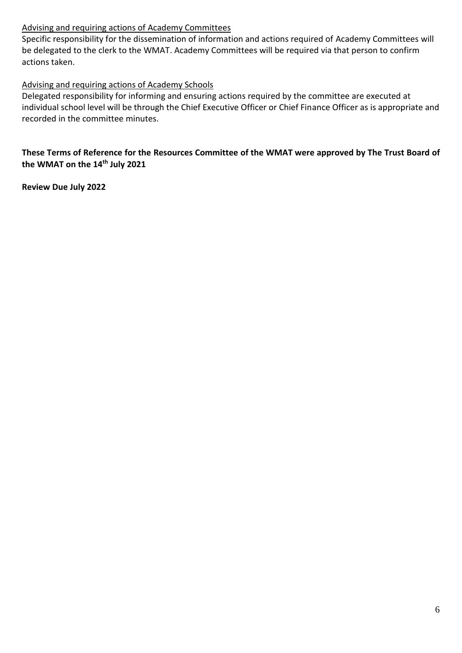# Advising and requiring actions of Academy Committees

Specific responsibility for the dissemination of information and actions required of Academy Committees will be delegated to the clerk to the WMAT. Academy Committees will be required via that person to confirm actions taken.

# Advising and requiring actions of Academy Schools

Delegated responsibility for informing and ensuring actions required by the committee are executed at individual school level will be through the Chief Executive Officer or Chief Finance Officer as is appropriate and recorded in the committee minutes.

**These Terms of Reference for the Resources Committee of the WMAT were approved by The Trust Board of the WMAT on the 14th July 2021**

**Review Due July 2022**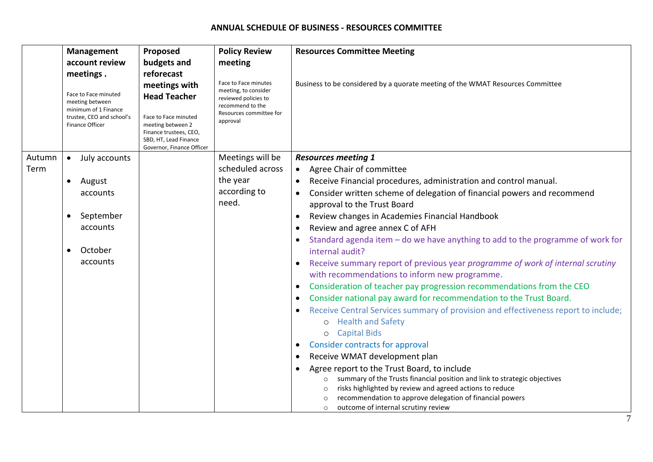#### **ANNUAL SCHEDULE OF BUSINESS - RESOURCES COMMITTEE**

|        | Management                                                                                                      | Proposed                                                                                                                                                          | <b>Policy Review</b>                                                                                                            | <b>Resources Committee Meeting</b>                                                                         |
|--------|-----------------------------------------------------------------------------------------------------------------|-------------------------------------------------------------------------------------------------------------------------------------------------------------------|---------------------------------------------------------------------------------------------------------------------------------|------------------------------------------------------------------------------------------------------------|
|        | account review                                                                                                  | budgets and                                                                                                                                                       | meeting                                                                                                                         |                                                                                                            |
|        | meetings.                                                                                                       | reforecast                                                                                                                                                        |                                                                                                                                 |                                                                                                            |
|        | Face to Face minuted<br>meeting between<br>minimum of 1 Finance<br>trustee, CEO and school's<br>Finance Officer | meetings with<br><b>Head Teacher</b><br>Face to Face minuted<br>meeting between 2<br>Finance trustees, CEO,<br>SBD, HT, Lead Finance<br>Governor, Finance Officer | Face to Face minutes<br>meeting, to consider<br>reviewed policies to<br>recommend to the<br>Resources committee for<br>approval | Business to be considered by a quorate meeting of the WMAT Resources Committee                             |
| Autumn | July accounts<br>$\bullet$                                                                                      |                                                                                                                                                                   | Meetings will be                                                                                                                | <b>Resources meeting 1</b>                                                                                 |
| Term   |                                                                                                                 |                                                                                                                                                                   | scheduled across                                                                                                                | • Agree Chair of committee                                                                                 |
|        | August<br>$\bullet$                                                                                             |                                                                                                                                                                   | the year                                                                                                                        | Receive Financial procedures, administration and control manual.<br>$\bullet$                              |
|        | accounts                                                                                                        |                                                                                                                                                                   | according to                                                                                                                    | Consider written scheme of delegation of financial powers and recommend<br>$\bullet$                       |
|        |                                                                                                                 |                                                                                                                                                                   | need.                                                                                                                           | approval to the Trust Board                                                                                |
|        | September<br>$\bullet$                                                                                          |                                                                                                                                                                   |                                                                                                                                 | Review changes in Academies Financial Handbook<br>$\bullet$                                                |
|        | accounts                                                                                                        |                                                                                                                                                                   |                                                                                                                                 | Review and agree annex C of AFH<br>$\bullet$                                                               |
|        | October<br>$\bullet$                                                                                            |                                                                                                                                                                   |                                                                                                                                 | Standard agenda item - do we have anything to add to the programme of work for<br>internal audit?          |
|        | accounts                                                                                                        |                                                                                                                                                                   |                                                                                                                                 | Receive summary report of previous year programme of work of internal scrutiny                             |
|        |                                                                                                                 |                                                                                                                                                                   |                                                                                                                                 | with recommendations to inform new programme.                                                              |
|        |                                                                                                                 |                                                                                                                                                                   |                                                                                                                                 | Consideration of teacher pay progression recommendations from the CEO<br>$\bullet$                         |
|        |                                                                                                                 |                                                                                                                                                                   |                                                                                                                                 | Consider national pay award for recommendation to the Trust Board.<br>$\bullet$                            |
|        |                                                                                                                 |                                                                                                                                                                   |                                                                                                                                 | Receive Central Services summary of provision and effectiveness report to include;<br>$\bullet$            |
|        |                                                                                                                 |                                                                                                                                                                   |                                                                                                                                 | o Health and Safety                                                                                        |
|        |                                                                                                                 |                                                                                                                                                                   |                                                                                                                                 | o Capital Bids                                                                                             |
|        |                                                                                                                 |                                                                                                                                                                   |                                                                                                                                 | <b>Consider contracts for approval</b><br>$\bullet$                                                        |
|        |                                                                                                                 |                                                                                                                                                                   |                                                                                                                                 | Receive WMAT development plan<br>$\bullet$                                                                 |
|        |                                                                                                                 |                                                                                                                                                                   |                                                                                                                                 | Agree report to the Trust Board, to include                                                                |
|        |                                                                                                                 |                                                                                                                                                                   |                                                                                                                                 | summary of the Trusts financial position and link to strategic objectives<br>$\circ$                       |
|        |                                                                                                                 |                                                                                                                                                                   |                                                                                                                                 | risks highlighted by review and agreed actions to reduce                                                   |
|        |                                                                                                                 |                                                                                                                                                                   |                                                                                                                                 | recommendation to approve delegation of financial powers<br>outcome of internal scrutiny review<br>$\circ$ |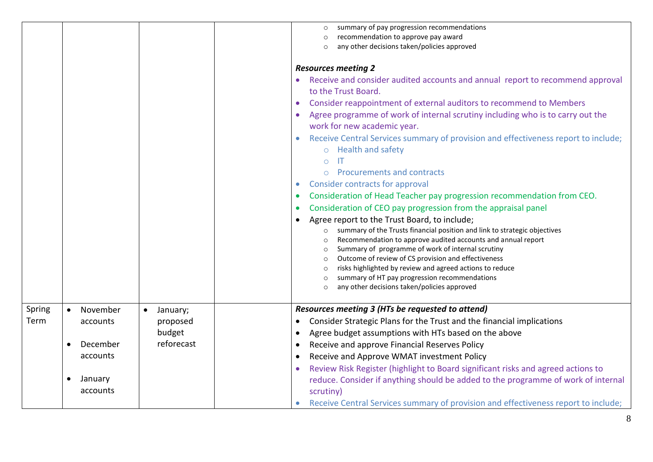|        |                       |                       | summary of pay progression recommendations                                                                           |
|--------|-----------------------|-----------------------|----------------------------------------------------------------------------------------------------------------------|
|        |                       |                       | recommendation to approve pay award                                                                                  |
|        |                       |                       | any other decisions taken/policies approved                                                                          |
|        |                       |                       |                                                                                                                      |
|        |                       |                       | <b>Resources meeting 2</b>                                                                                           |
|        |                       |                       | • Receive and consider audited accounts and annual report to recommend approval                                      |
|        |                       |                       | to the Trust Board.                                                                                                  |
|        |                       |                       | Consider reappointment of external auditors to recommend to Members                                                  |
|        |                       |                       | Agree programme of work of internal scrutiny including who is to carry out the                                       |
|        |                       |                       | work for new academic year.                                                                                          |
|        |                       |                       | Receive Central Services summary of provision and effectiveness report to include;                                   |
|        |                       |                       | o Health and safety                                                                                                  |
|        |                       |                       | IT<br>$\bigcirc$                                                                                                     |
|        |                       |                       | <b>Procurements and contracts</b><br>$\bigcap$                                                                       |
|        |                       |                       | <b>Consider contracts for approval</b>                                                                               |
|        |                       |                       | Consideration of Head Teacher pay progression recommendation from CEO.                                               |
|        |                       |                       | Consideration of CEO pay progression from the appraisal panel                                                        |
|        |                       |                       | Agree report to the Trust Board, to include;                                                                         |
|        |                       |                       | summary of the Trusts financial position and link to strategic objectives<br>$\circ$                                 |
|        |                       |                       | Recommendation to approve audited accounts and annual report                                                         |
|        |                       |                       | Summary of programme of work of internal scrutiny<br>$\circ$                                                         |
|        |                       |                       | Outcome of review of CS provision and effectiveness<br>$\circ$                                                       |
|        |                       |                       | risks highlighted by review and agreed actions to reduce<br>$\circ$<br>summary of HT pay progression recommendations |
|        |                       |                       | any other decisions taken/policies approved                                                                          |
|        |                       |                       |                                                                                                                      |
| Spring | November<br>$\bullet$ | January;<br>$\bullet$ | Resources meeting 3 (HTs be requested to attend)                                                                     |
| Term   | accounts              | proposed              | Consider Strategic Plans for the Trust and the financial implications<br>$\bullet$                                   |
|        |                       | budget                | Agree budget assumptions with HTs based on the above<br>٠                                                            |
|        | December              | reforecast            | Receive and approve Financial Reserves Policy<br>$\bullet$                                                           |
|        | accounts              |                       | Receive and Approve WMAT investment Policy<br>$\bullet$                                                              |
|        |                       |                       | Review Risk Register (highlight to Board significant risks and agreed actions to                                     |
|        | January               |                       | reduce. Consider if anything should be added to the programme of work of internal                                    |
|        | accounts              |                       | scrutiny)                                                                                                            |
|        |                       |                       | Receive Central Services summary of provision and effectiveness report to include;                                   |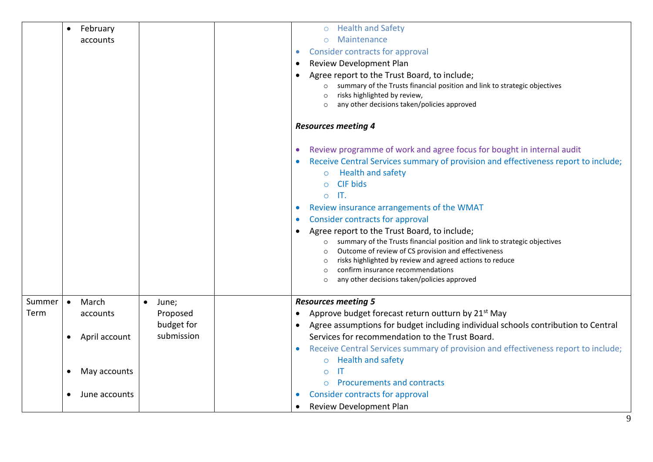|        | February<br>$\bullet$      |                    | o Health and Safety                                                                                                       |
|--------|----------------------------|--------------------|---------------------------------------------------------------------------------------------------------------------------|
|        | accounts                   |                    | Maintenance<br>$\bigcirc$                                                                                                 |
|        |                            |                    | <b>Consider contracts for approval</b><br>$\bullet$                                                                       |
|        |                            |                    | Review Development Plan                                                                                                   |
|        |                            |                    | Agree report to the Trust Board, to include;                                                                              |
|        |                            |                    | summary of the Trusts financial position and link to strategic objectives<br>$\circ$                                      |
|        |                            |                    | risks highlighted by review,                                                                                              |
|        |                            |                    | any other decisions taken/policies approved                                                                               |
|        |                            |                    | <b>Resources meeting 4</b>                                                                                                |
|        |                            |                    | Review programme of work and agree focus for bought in internal audit                                                     |
|        |                            |                    | Receive Central Services summary of provision and effectiveness report to include;                                        |
|        |                            |                    | <b>Health and safety</b><br>$\circ$                                                                                       |
|        |                            |                    | <b>CIF bids</b><br>$\Omega$                                                                                               |
|        |                            |                    | $\mathsf{I}$<br>$\Omega$                                                                                                  |
|        |                            |                    | Review insurance arrangements of the WMAT                                                                                 |
|        |                            |                    | <b>Consider contracts for approval</b>                                                                                    |
|        |                            |                    | Agree report to the Trust Board, to include;<br>summary of the Trusts financial position and link to strategic objectives |
|        |                            |                    | Outcome of review of CS provision and effectiveness<br>$\circ$                                                            |
|        |                            |                    | risks highlighted by review and agreed actions to reduce<br>$\circ$                                                       |
|        |                            |                    | confirm insurance recommendations                                                                                         |
|        |                            |                    | any other decisions taken/policies approved                                                                               |
| Summer | March<br>$\bullet$         | $\bullet$<br>June; | <b>Resources meeting 5</b>                                                                                                |
| Term   | accounts                   | Proposed           | Approve budget forecast return outturn by 21 <sup>st</sup> May                                                            |
|        |                            | budget for         | Agree assumptions for budget including individual schools contribution to Central<br>$\bullet$                            |
|        | April account<br>$\bullet$ | submission         | Services for recommendation to the Trust Board.                                                                           |
|        |                            |                    | Receive Central Services summary of provision and effectiveness report to include;                                        |
|        |                            |                    | <b>Health and safety</b><br>$\circ$                                                                                       |
|        | May accounts<br>$\bullet$  |                    | IT<br>$\circ$                                                                                                             |
|        |                            |                    | <b>Procurements and contracts</b><br>$\circ$                                                                              |
|        | June accounts<br>$\bullet$ |                    | <b>Consider contracts for approval</b>                                                                                    |
|        |                            |                    | <b>Review Development Plan</b>                                                                                            |